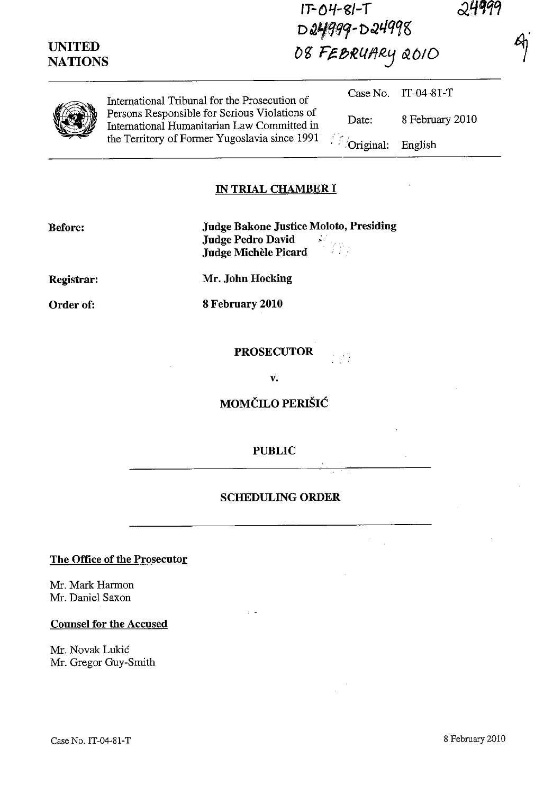$IP-04-SI-T$ D24999-D24998 08 FEBRUARY 2010



**UNITED NATIONS** 

> International Tribunal for the Prosecution of Persons Responsible for Serious Violations of International Humanitarian Law Committed in the Territory of Former Yugoslavia since 1991 ... "Original:

Case No. Date: IT-04-81-T 8 February 2010

English

## **IN TRIAL CHAMBER I**

**Judge Bakone Justice Moloto, Presiding Judge Pedro David**<br>**Ludge Michèle Picard Judge MicheIe Picard** 

**Registrar:** 

**Order of:** 

**Mr. John Hocking 8 February 2010** 

**PROSECUTOR** 

**v.** 

**MOMČILO PERIŠIĆ** 

## **PUBLIC**

## **SCHEDULING ORDER**

**The Office of the Prosecutor** 

Mr. Mark Harmon Mr. Daniel Saxon

**Counsel for the Accused** 

Mr. Novak Lukic Mr. Gregor Guy-Smith